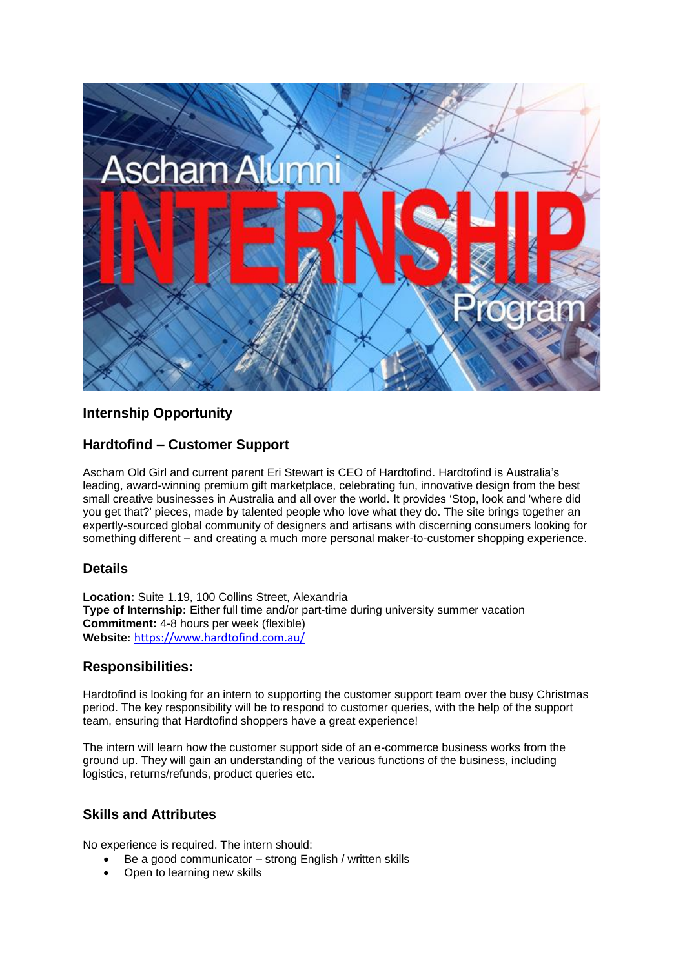

# **Internship Opportunity**

# **Hardtofind – Customer Support**

Ascham Old Girl and current parent Eri Stewart is CEO of Hardtofind. Hardtofind is Australia's leading, award-winning premium gift marketplace, celebrating fun, innovative design from the best small creative businesses in Australia and all over the world. It provides 'Stop, look and 'where did you get that?' pieces, made by talented people who love what they do. The site brings together an expertly-sourced global community of designers and artisans with discerning consumers looking for something different – and creating a much more personal maker-to-customer shopping experience.

## **Details**

**Location:** Suite 1.19, 100 Collins Street, Alexandria **Type of Internship:** Either full time and/or part-time during university summer vacation **Commitment:** 4-8 hours per week (flexible) **Website:** <https://www.hardtofind.com.au/>

## **Responsibilities:**

Hardtofind is looking for an intern to supporting the customer support team over the busy Christmas period. The key responsibility will be to respond to customer queries, with the help of the support team, ensuring that Hardtofind shoppers have a great experience!

The intern will learn how the customer support side of an e-commerce business works from the ground up. They will gain an understanding of the various functions of the business, including logistics, returns/refunds, product queries etc.

#### **Skills and Attributes**

No experience is required. The intern should:

- Be a good communicator strong English / written skills
- Open to learning new skills